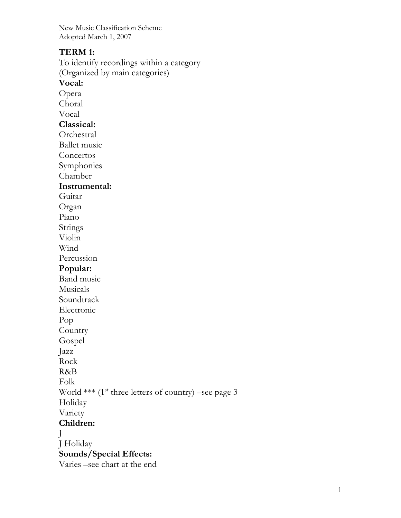New Music Classification Scheme Adopted March 1, 2007

#### **TERM 1:**

To ident ify recordings within a c ategory (Organized by main categories) **Vocal:**  Opera Choral Vocal **Classical: Orchestral** Ballet music Concertos Symphonies Chamber **Instrumental:**  Guitar Organ Piano Strings Violin Wind Percussion **Popular:**  Band music Musicals Soundtrack Electronic Pop Country Gospel Jazz Rock R&B Folk World \*\*\* ( $1<sup>st</sup>$  three letters of country) –see page 3 Holiday Variety **Children:**  J J Holiday **Sounds/Special Effects:**  Varies –see chart at the end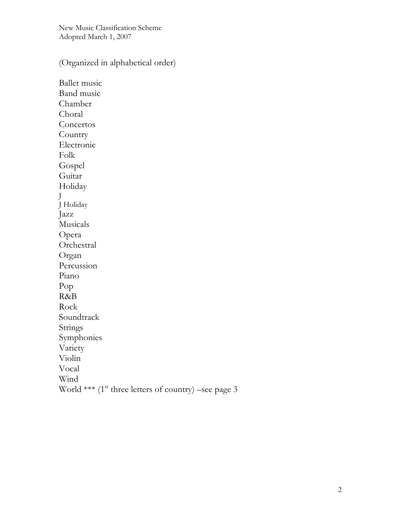New Music Classification Scheme Adopted March 1, 2007

(Organized in alphabetical order)

Ballet music Band music Chamber Choral **Concertos** Country Electronic Folk Gospel Guitar Holiday J J Holiday Jazz Musicals Opera Orchestral Organ Percussion Piano Pop R&B Rock Soundtrack Strings Symphonies Variety Violin Vocal Wind World \*\*\* ( $1<sup>st</sup>$  three letters of country) –see page 3